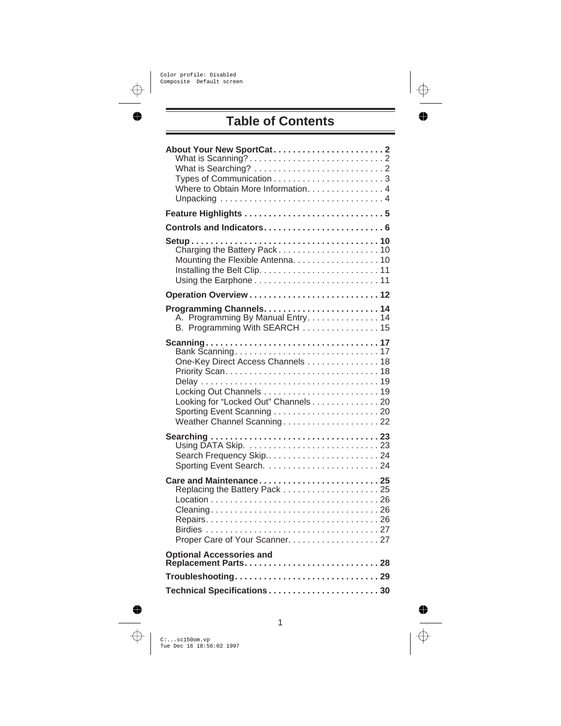# **Table of Contents**

| Where to Obtain More Information. 4                                                                     |
|---------------------------------------------------------------------------------------------------------|
| Feature Highlights  5                                                                                   |
|                                                                                                         |
| Mounting the Flexible Antenna. 10                                                                       |
|                                                                                                         |
| A. Programming By Manual Entry. 14<br>B. Programming With SEARCH  15                                    |
| One-Key Direct Access Channels 18<br>Looking for "Locked Out" Channels 20<br>Weather Channel Scanning22 |
| Search Frequency Skip24                                                                                 |
| Care and Maintenance25<br>Proper Care of Your Scanner. 27                                               |
| <b>Optional Accessories and</b>                                                                         |
| Troubleshooting29                                                                                       |
| Technical Specifications30                                                                              |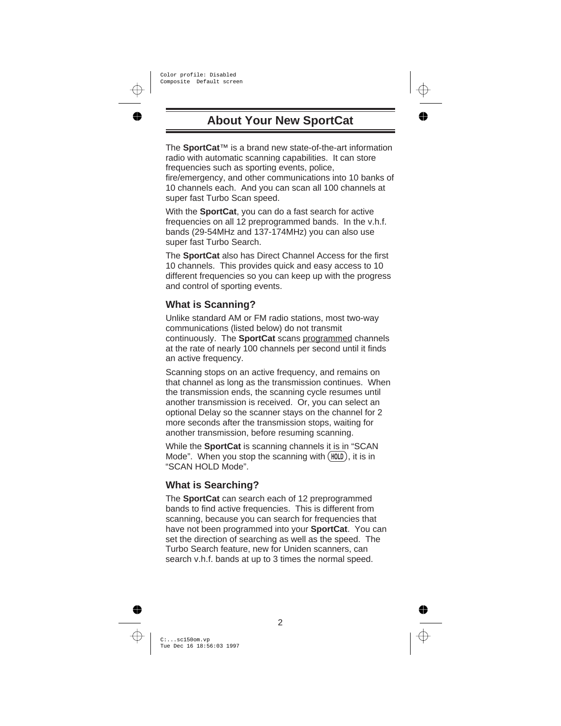# **About Your New SportCat**

The **SportCat**™ is a brand new state-of-the-art information radio with automatic scanning capabilities. It can store frequencies such as sporting events, police,

fire/emergency, and other communications into 10 banks of 10 channels each. And you can scan all 100 channels at super fast Turbo Scan speed.

With the **SportCat**, you can do a fast search for active frequencies on all 12 preprogrammed bands. In the v.h.f. bands (29-54MHz and 137-174MHz) you can also use super fast Turbo Search.

The **SportCat** also has Direct Channel Access for the first 10 channels. This provides quick and easy access to 10 different frequencies so you can keep up with the progress and control of sporting events.

## **What is Scanning?**

Unlike standard AM or FM radio stations, most two-way communications (listed below) do not transmit continuously. The **SportCat** scans programmed channels at the rate of nearly 100 channels per second until it finds an active frequency.

Scanning stops on an active frequency, and remains on that channel as long as the transmission continues. When the transmission ends, the scanning cycle resumes until another transmission is received. Or, you can select an optional Delay so the scanner stays on the channel for 2 more seconds after the transmission stops, waiting for another transmission, before resuming scanning.

While the **SportCat** is scanning channels it is in "SCAN Mode". When you stop the scanning with  $(HOLD)$ , it is in "SCAN HOLD Mode".

## **What is Searching?**

The **SportCat** can search each of 12 preprogrammed bands to find active frequencies. This is different from scanning, because you can search for frequencies that have not been programmed into your **SportCat**. You can set the direction of searching as well as the speed. The Turbo Search feature, new for Uniden scanners, can search v.h.f. bands at up to 3 times the normal speed.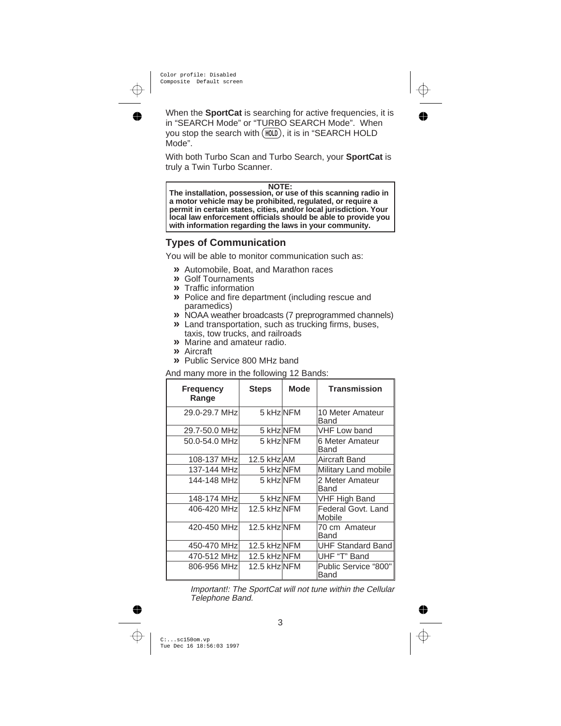When the **SportCat** is searching for active frequencies, it is in "SEARCH Mode" or "TURBO SEARCH Mode". When you stop the search with (HOLD), it is in "SEARCH HOLD Mode".

With both Turbo Scan and Turbo Search, your **SportCat** is truly a Twin Turbo Scanner.

#### **NOTE:**

**The installation, possession, or use of this scanning radio in a motor vehicle may be prohibited, regulated, or require a permit in certain states, cities, and/or local jurisdiction. Your local law enforcement officials should be able to provide you with information regarding the laws in your community.**

#### **Types of Communication**

You will be able to monitor communication such as:

- **»** Automobile, Boat, and Marathon races
- **»** Golf Tournaments
- **»** Traffic information
- **»** Police and fire department (including rescue and paramedics)
- **»** NOAA weather broadcasts (7 preprogrammed channels)
- **»** Land transportation, such as trucking firms, buses, taxis, tow trucks, and railroads
- **»** Marine and amateur radio.
- **»** Aircraft
- **»** Public Service 800 MHz band

#### And many more in the following 12 Bands:

| <b>Frequency</b><br>Range | <b>Steps</b> | <b>Mode</b> | <b>Transmission</b>          |
|---------------------------|--------------|-------------|------------------------------|
| 29.0-29.7 MHz             | 5 kHz NFM    |             | 10 Meter Amateur<br>Band     |
| 29.7-50.0 MHz             | 5 kHz NFM    |             | <b>VHF Low band</b>          |
| 50.0-54.0 MHz             | 5 kHz NFM    |             | 6 Meter Amateur<br>Band      |
| 108-137 MHz               | 12.5 kHz AM  |             | Aircraft Band                |
| 137-144 MHz               | 5 kHz NFM    |             | Military Land mobile         |
| 144-148 MHz               | 5 kHz NFM    |             | 2 Meter Amateur<br>Band      |
| 148-174 MHz               | 5 kHz NFM    |             | <b>VHF High Band</b>         |
| 406-420 MHz               | 12.5 kHz NFM |             | Federal Govt, Land<br>Mobile |
| 420-450 MHz               | 12.5 kHz NFM |             | 70 cm Amateur<br>Band        |
| 450-470 MHz               | 12.5 kHz NFM |             | <b>UHF Standard Band</b>     |
| 470-512 MHz               | 12.5 kHz NFM |             | UHF "T" Band                 |
| 806-956 MHz               | 12.5 kHz NFM |             | Public Service "800"<br>Band |

Important!: The SportCat will not tune within the Cellular Telephone Band.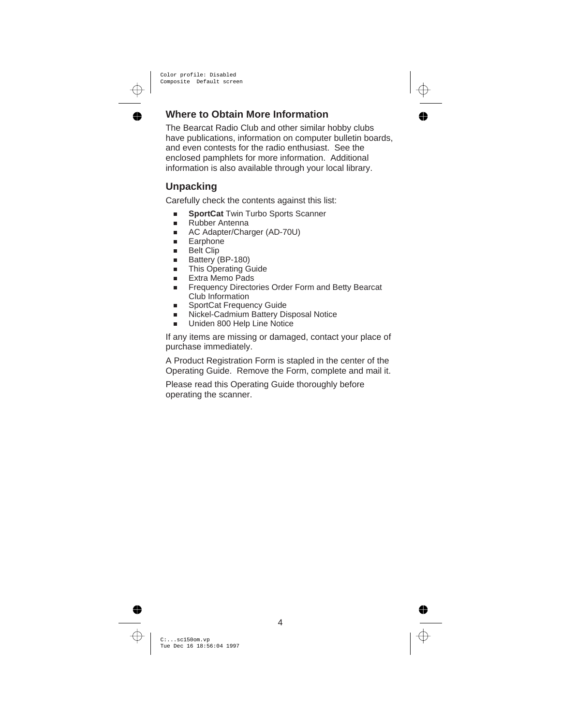## **Where to Obtain More Information**

The Bearcat Radio Club and other similar hobby clubs have publications, information on computer bulletin boards, and even contests for the radio enthusiast. See the enclosed pamphlets for more information. Additional information is also available through your local library.

## **Unpacking**

Carefully check the contents against this list:

- n**SportCat** Twin Turbo Sports Scanner
- nRubber Antenna
- nAC Adapter/Charger (AD-70U)
- nEarphone
- nBelt Clip
- nBattery (BP-180)
- nThis Operating Guide
- nExtra Memo Pads
- n Frequency Directories Order Form and Betty Bearcat Club Information
- nSportCat Frequency Guide
- nNickel-Cadmium Battery Disposal Notice
- nUniden 800 Help Line Notice

If any items are missing or damaged, contact your place of purchase immediately.

A Product Registration Form is stapled in the center of the Operating Guide. Remove the Form, complete and mail it.

Please read this Operating Guide thoroughly before operating the scanner.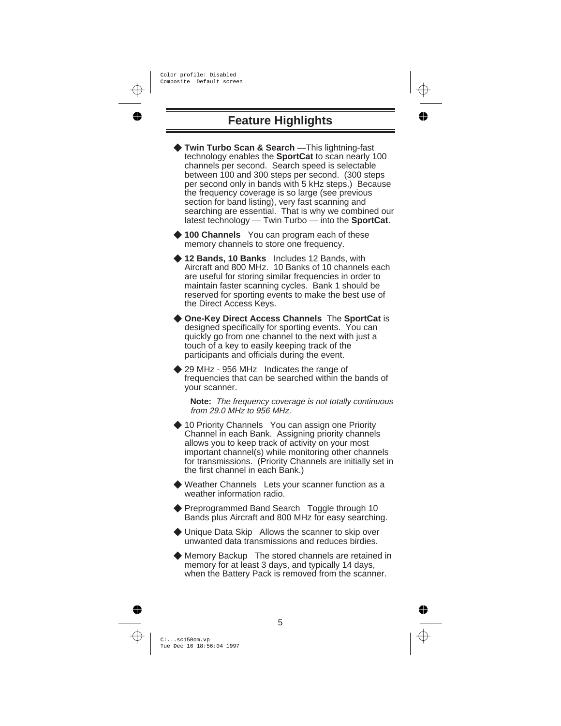# **Feature Highlights**

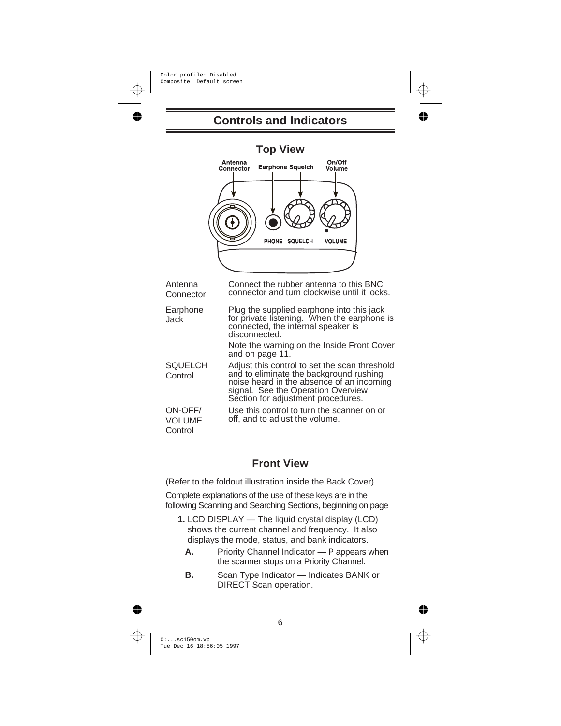## **Controls and Indicators**

| <b>Top View</b><br>On/Off<br>Antenna<br><b>Earphone Squelch</b><br>Connector<br>Volume |                                                                                                                                                                                                                                                                 |  |  |
|----------------------------------------------------------------------------------------|-----------------------------------------------------------------------------------------------------------------------------------------------------------------------------------------------------------------------------------------------------------------|--|--|
|                                                                                        | PHONE SQUELCH<br><b>VOLUME</b>                                                                                                                                                                                                                                  |  |  |
| Antenna<br>Connector                                                                   | Connect the rubber antenna to this BNC<br>connector and turn clockwise until it locks.                                                                                                                                                                          |  |  |
| Earphone<br>Jack                                                                       | Plug the supplied earphone into this jack<br>for private listening. When the earphone is<br>connected, the internal speaker is<br>disconnected.<br>Note the warning on the Inside Front Cover<br>and on page 11.                                                |  |  |
| <b>SQUELCH</b><br>Control<br>ON-OFF/                                                   | Adjust this control to set the scan threshold<br>and to eliminate the background rushing<br>noise heard in the absence of an incoming<br>signal. See the Operation Overview<br>Section for adjustment procedures.<br>Use this control to turn the scanner on or |  |  |
| <b>VOLUME</b><br>Control                                                               | off, and to adjust the volume.                                                                                                                                                                                                                                  |  |  |

#### **Front View**

(Refer to the foldout illustration inside the Back Cover)

Complete explanations of the use of these keys are in the following Scanning and Searching Sections, beginning on page

- **1.** LCD DISPLAY The liquid crystal display (LCD) shows the current channel and frequency. It also displays the mode, status, and bank indicators.
	- **A.** Priority Channel Indicator P appears when the scanner stops on a Priority Channel.
	- **B.** Scan Type Indicator Indicates BANK or DIRECT Scan operation.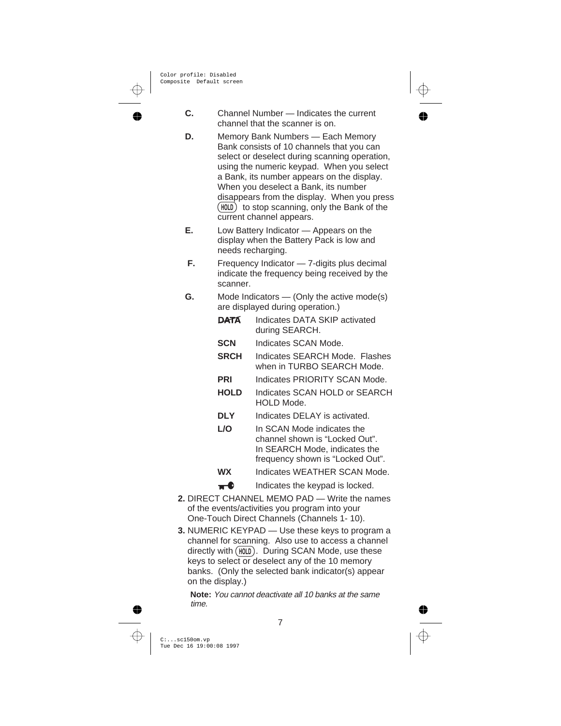- **C.** Channel Number Indicates the current channel that the scanner is on.
- **D.** Memory Bank Numbers Each Memory Bank consists of 10 channels that you can select or deselect during scanning operation, using the numeric keypad. When you select a Bank, its number appears on the display. When you deselect a Bank, its number disappears from the display. When you press  $(HOLD)$  to stop scanning, only the Bank of the current channel appears.
- **E.** Low Battery Indicator Appears on the display when the Battery Pack is low and needs recharging.
- **F.** Frequency Indicator 7-digits plus decimal indicate the frequency being received by the scanner.
- **G.** Mode Indicators (Only the active mode(s) are displayed during operation.)
	- **DATA** Indicates DATA SKIP activated during SEARCH.
	- **SCN** Indicates SCAN Mode.
	- **SRCH** Indicates SEARCH Mode. Flashes when in TURBO SEARCH Mode.
	- **PRI** Indicates PRIORITY SCAN Mode.
	- **HOLD** Indicates SCAN HOLD or SEARCH HOLD Mode.
	- **DLY** Indicates DELAY is activated.
	- **L/O** In SCAN Mode indicates the channel shown is "Locked Out". In SEARCH Mode, indicates the frequency shown is "Locked Out".
	- **WX** Indicates WEATHER SCAN Mode.
	- $\bullet$  Indicates the keypad is locked.
- **2.** DIRECT CHANNEL MEMO PAD Write the names of the events/activities you program into your One-Touch Direct Channels (Channels 1- 10).
- **3.** NUMERIC KEYPAD Use these keys to program a channel for scanning. Also use to access a channel directly with (HOLD). During SCAN Mode, use these keys to select or deselect any of the 10 memory banks. (Only the selected bank indicator(s) appear on the display.)

**Note:** You cannot deactivate all 10 banks at the same time.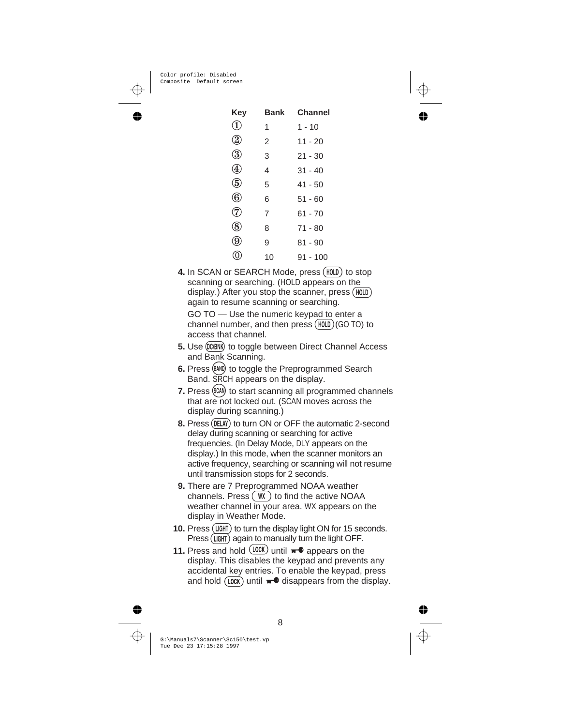| Key                         | Bank | <b>Channel</b> |
|-----------------------------|------|----------------|
| D                           | 1    | $1 - 10$       |
| $\circled{2}$               | 2    | $11 - 20$      |
| ③                           | 3    | $21 - 30$      |
| $^\mathrm{\textregistered}$ | 4    | $31 - 40$      |
| (5)                         | 5    | $41 - 50$      |
| $^\text{\textregistered}$   | 6    | $51 - 60$      |
| (7)                         | 7    | 61 - 70        |
| (8)                         | 8    | 71 - 80        |
| $\left( 9\right)$           | 9    | $81 - 90$      |
|                             | 10   | $91 - 100$     |

4. In SCAN or SEARCH Mode, press (HOLD) to stop scanning or searching. (HOLD appears on the again to resume scanning or searching. display.) After you stop the scanner, press  $(HOLD)$ GO TO — Use the numeric keypad to enter a

channel number, and then press  $(HOLD)(GO TO)$  to access that channel.

- 5. Use (DC/BNK) to toggle between Direct Channel Access and Bank Scanning.
- **6.** Press (BAND) to toggle the Preprogrammed Search Band. SRCH appears on the display.
- **7.** Press (SCAN) to start scanning all programmed channels that are not locked out. (SCAN moves across the display during scanning.)
- 8. Press (DELAY) to turn ON or OFF the automatic 2-second delay during scanning or searching for active frequencies. (In Delay Mode, DLY appears on the display.) In this mode, when the scanner monitors an active frequency, searching or scanning will not resume until transmission stops for 2 seconds.
- **9.** There are 7 Preprogrammed NOAA weather channels. Press  $(WX)$  to find the active NOAA weather channel in your area. WX appears on the display in Weather Mode.
- 10. Press (LIGHT) to turn the display light ON for 15 seconds. Press (LGHT) again to manually turn the light OFF.
- **11.** Press and hold  $(100K)$  until  $\pi$  appears on the display. This disables the keypad and prevents any accidental key entries. To enable the keypad, press and hold  $(100K)$  until  $\pi$ <sup>0</sup> disappears from the display.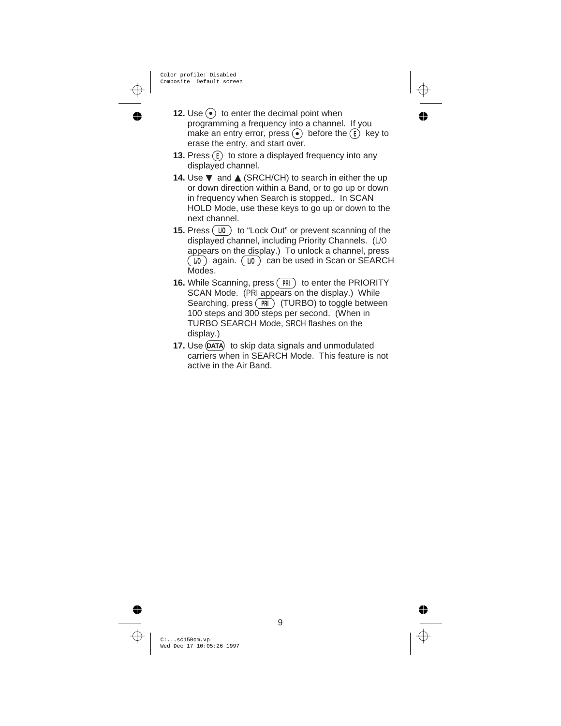- **12.** Use  $\odot$  to enter the decimal point when programming a frequency into a channel. If you make an entry error, press.  $\odot$  before the  $\ddot{\odot}$  key to erase the entry, and start over.
- **13.** Press  $(F)$  to store a displayed frequency into any displayed channel.
- **14.** Use ▼ and ▲ (SRCH/CH) to search in either the up or down direction within a Band, or to go up or down in frequency when Search is stopped.. In SCAN HOLD Mode, use these keys to go up or down to the next channel.
- **15.** Press  $(\sqrt{10})$  to "Lock Out" or prevent scanning of the displayed channel, including Priority Channels. (L/O appears on the display.) To unlock a channel, press  $(\overline{10})$  again.  $(\overline{10})$  can be used in Scan or SEARCH Modes.
- **16.** While Scanning, press (PRI) to enter the PRIORITY SCAN Mode. (PRI appears on the display.) While Searching, press  $(\overrightarrow{PR})$  (TURBO) to toggle between 100 steps and 300 steps per second. (When in TURBO SEARCH Mode, SRCH flashes on the display.)
- **17.** Use (DATA) to skip data signals and unmodulated carriers when in SEARCH Mode. This feature is not active in the Air Band.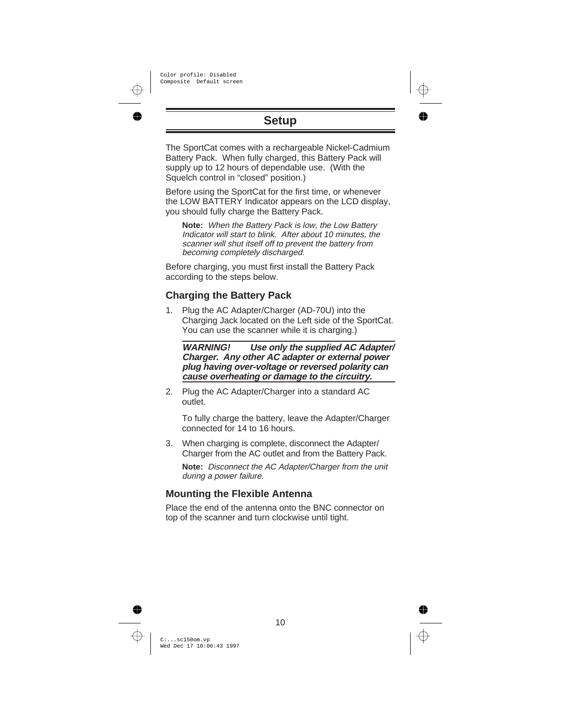# **Setup**

The SportCat comes with a rechargeable Nickel-Cadmium Battery Pack. When fully charged, this Battery Pack will supply up to 12 hours of dependable use. (With the Squelch control in "closed" position.)

Before using the SportCat for the first time, or whenever the LOW BATTERY Indicator appears on the LCD display, you should fully charge the Battery Pack.

**Note:** When the Battery Pack is low, the Low Battery Indicator will start to blink. After about 10 minutes, the scanner will shut itself off to prevent the battery from becoming completely discharged.

Before charging, you must first install the Battery Pack according to the steps below.

#### **Charging the Battery Pack**

1. Plug the AC Adapter/Charger (AD-70U) into the Charging Jack located on the Left side of the SportCat. You can use the scanner while it is charging.)

**WARNING! Use only the supplied AC Adapter/ Charger. Any other AC adapter or external power plug having over-voltage or reversed polarity can cause overheating or damage to the circuitry.**

2. Plug the AC Adapter/Charger into a standard AC outlet.

To fully charge the battery, leave the Adapter/Charger connected for 14 to 16 hours.

3. When charging is complete, disconnect the Adapter/ Charger from the AC outlet and from the Battery Pack.

**Note:** Disconnect the AC Adapter/Charger from the unit during <sup>a</sup> power failure.

#### **Mounting the Flexible Antenna**

Place the end of the antenna onto the BNC connector on top of the scanner and turn clockwise until tight.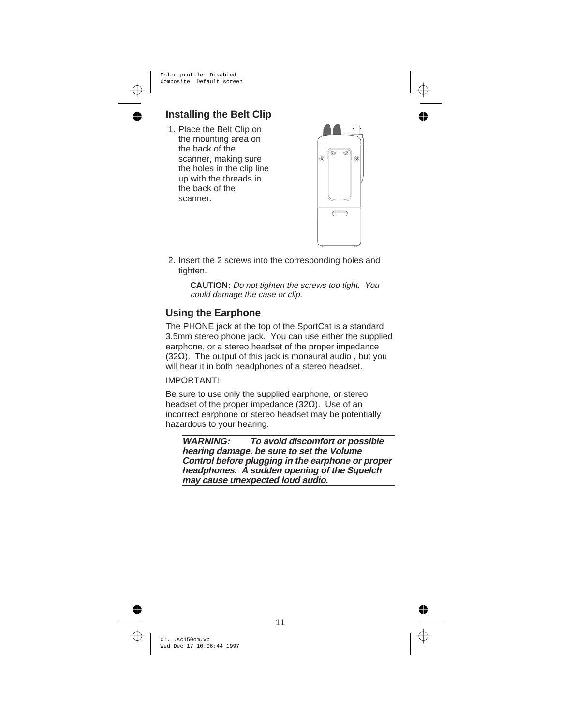### **Installing the Belt Clip**

1. Place the Belt Clip on the mounting area on the back of the scanner, making sure the holes in the clip line up with the threads in the back of the scanner.



2. Insert the 2 screws into the corresponding holes and tighten.

> **CAUTION:** Do not tighten the screws too tight. You could damage the case or clip.

#### **Using the Earphone**

The PHONE jack at the top of the SportCat is a standard 3.5mm stereo phone jack. You can use either the supplied earphone, or a stereo headset of the proper impedance (32Ω). The output of this jack is monaural audio , but you will hear it in both headphones of a stereo headset.

#### IMPORTANT!

Be sure to use only the supplied earphone, or stereo headset of the proper impedance (32Ω). Use of an incorrect earphone or stereo headset may be potentially hazardous to your hearing.

**WARNING: To avoid discomfort or possible hearing damage, be sure to set the Volume Control before plugging in the earphone or proper headphones. A sudden opening of the Squelch may cause unexpected loud audio.**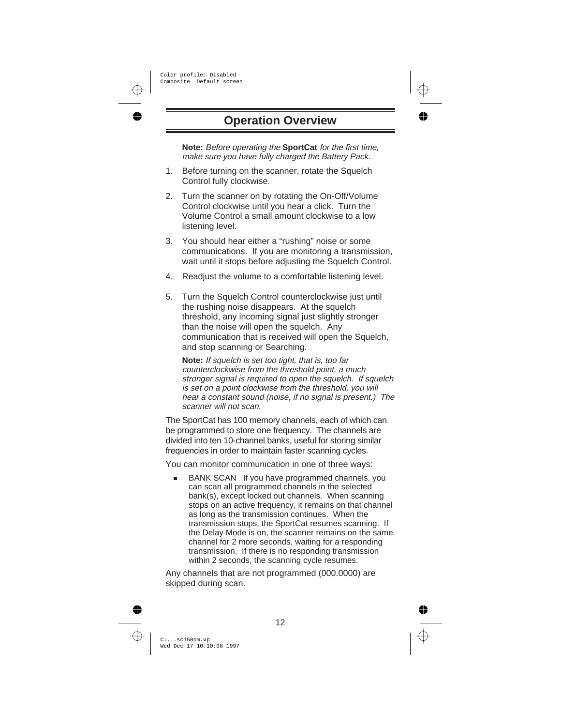## **Operation Overview**

**Note:** Before operating the **SportCat** for the first time, make sure you have fully charged the Battery Pack.

- 1. Before turning on the scanner, rotate the Squelch Control fully clockwise.
- 2. Turn the scanner on by rotating the On-Off/Volume Control clockwise until you hear a click. Turn the Volume Control a small amount clockwise to a low listening level.
- 3. You should hear either a "rushing" noise or some communications. If you are monitoring a transmission, wait until it stops before adjusting the Squelch Control.
- 4. Readjust the volume to a comfortable listening level.
- 5. Turn the Squelch Control counterclockwise just until the rushing noise disappears. At the squelch threshold, any incoming signal just slightly stronger than the noise will open the squelch. Any communication that is received will open the Squelch, and stop scanning or Searching.

**Note:** If squelch is set too tight, that is, too far counterclockwise from the threshold point, <sup>a</sup> much stronger signal is required to open the squelch. If squelch is set on <sup>a</sup> point clockwise from the threshold, you will hear <sup>a</sup> constant sound (noise, if no signal is present.) The scanner will not scan.

The SportCat has 100 memory channels, each of which can be programmed to store one frequency. The channels are divided into ten 10-channel banks, useful for storing similar frequencies in order to maintain faster scanning cycles.

You can monitor communication in one of three ways:

n BANK SCAN If you have programmed channels, you can scan all programmed channels in the selected bank(s), except locked out channels. When scanning stops on an active frequency, it remains on that channel as long as the transmission continues. When the transmission stops, the SportCat resumes scanning. If the Delay Mode is on, the scanner remains on the same channel for 2 more seconds, waiting for a responding transmission. If there is no responding transmission within 2 seconds, the scanning cycle resumes.

Any channels that are not programmed (000.0000) are skipped during scan.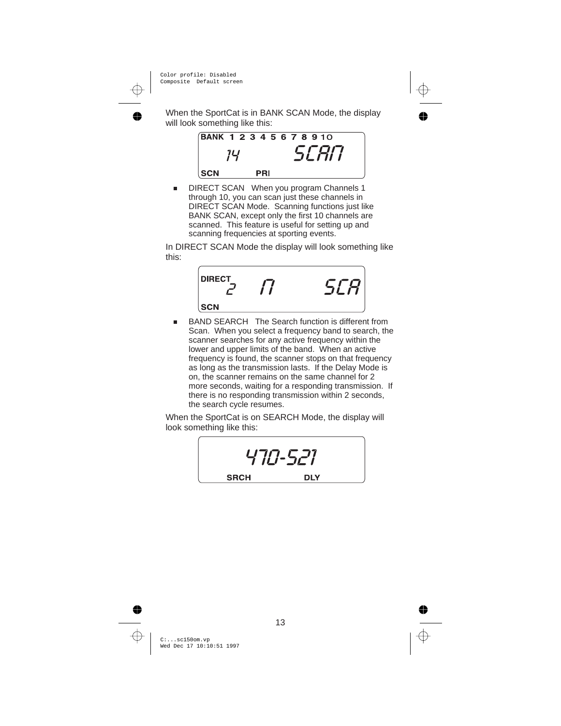When the SportCat is in BANK SCAN Mode, the display will look something like this:



n DIRECT SCAN When you program Channels 1 through 10, you can scan just these channels in DIRECT SCAN Mode. Scanning functions just like BANK SCAN, except only the first 10 channels are scanned. This feature is useful for setting up and scanning frequencies at sporting events.

In DIRECT SCAN Mode the display will look something like this:



n BAND SEARCH The Search function is different from Scan. When you select a frequency band to search, the scanner searches for any active frequency within the lower and upper limits of the band. When an active frequency is found, the scanner stops on that frequency as long as the transmission lasts. If the Delay Mode is on, the scanner remains on the same channel for 2 more seconds, waiting for a responding transmission. If there is no responding transmission within 2 seconds, the search cycle resumes.

When the SportCat is on SEARCH Mode, the display will look something like this:

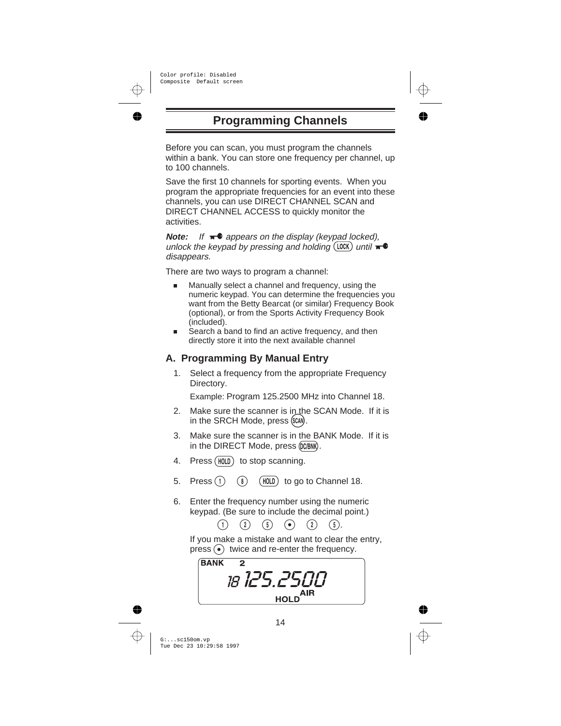# **Programming Channels**

Before you can scan, you must program the channels within a bank. You can store one frequency per channel, up to 100 channels.

Save the first 10 channels for sporting events. When you program the appropriate frequencies for an event into these channels, you can use DIRECT CHANNEL SCAN and DIRECT CHANNEL ACCESS to quickly monitor the activities.

**Note:** If  $\mathbf{r}^{\bullet}$  appears on the display (keypad locked), unlock the keypad by pressing and holding  $(100K)$  until  $\blacksquare$ disappears.

There are two ways to program a channel:

- n Manually select a channel and frequency, using the numeric keypad. You can determine the frequencies you want from the Betty Bearcat (or similar) Frequency Book (optional), or from the Sports Activity Frequency Book (included).
- n Search a band to find an active frequency, and then directly store it into the next available channel

## **A. Programming By Manual Entry**

1. Select a frequency from the appropriate Frequency Directory.

Example: Program 125.2500 MHz into Channel 18.

- 2. Make sure the scanner is in the SCAN Mode. If it is in the SRCH Mode, press (SCAN).
- 3. Make sure the scanner is in the BANK Mode. If it is in the DIRECT Mode, press (DC/BNK).
- 4. Press (HOLD) to stop scanning.
- 5. Press  $(1)$   $(8)$   $(HOLD)$  to go to Channel 18.
- 6. Enter the frequency number using the numeric keypad. (Be sure to include the decimal point.)<br>
(1) (2) (5) (2) (5).

If you make a mistake and want to clear the entry,  $pres.$  wice and re-enter the frequency.

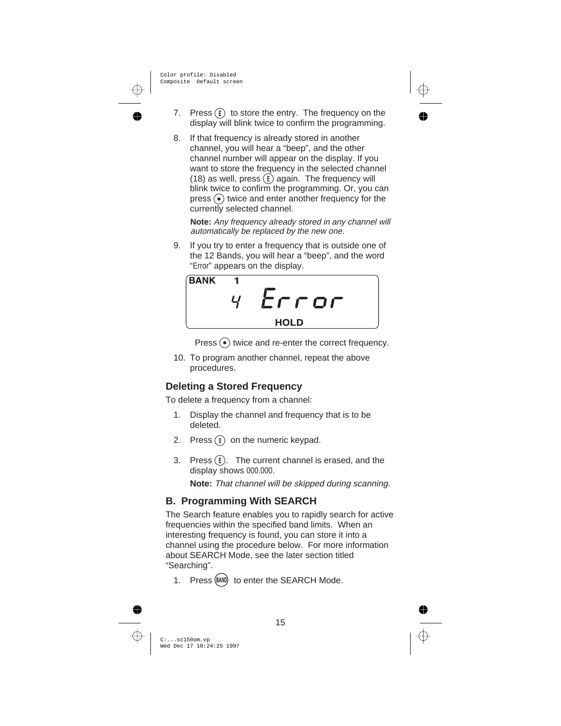- 7. Press  $(F)$  to store the entry. The frequency on the display will blink twice to confirm the programming.
- 8. If that frequency is already stored in another channel, you will hear a "beep", and the other channel number will appear on the display. If you want to store the frequency in the selected channel (18) as well, press  $E$  again. The frequency will blink twice to confirm the programming. Or, you can  $pres.$  ( $\bullet$ ) twice and enter another frequency for the currently selected channel.

**Note:** Any frequency already stored in any channel will automatically be replaced by the new one.

9. If you try to enter a frequency that is outside one of the 12 Bands, you will hear a "beep", and the word "Error" appears on the display.



Press  $\ddot{\bullet}$  twice and re-enter the correct frequency.

10. To program another channel, repeat the above procedures.

### **Deleting a Stored Frequency**

To delete a frequency from a channel:

- 1. Display the channel and frequency that is to be deleted.
- 2. Press  $(0)$  on the numeric keypad.
- 3. Press  $(E)$ . The current channel is erased, and the display shows 000.000.

**Note:** That channel will be skipped during scanning.

## **B. Programming With SEARCH**

The Search feature enables you to rapidly search for active frequencies within the specified band limits. When an interesting frequency is found, you can store it into a channel using the procedure below. For more information about SEARCH Mode, see the later section titled "Searching".

1. Press (BAND) to enter the SEARCH Mode.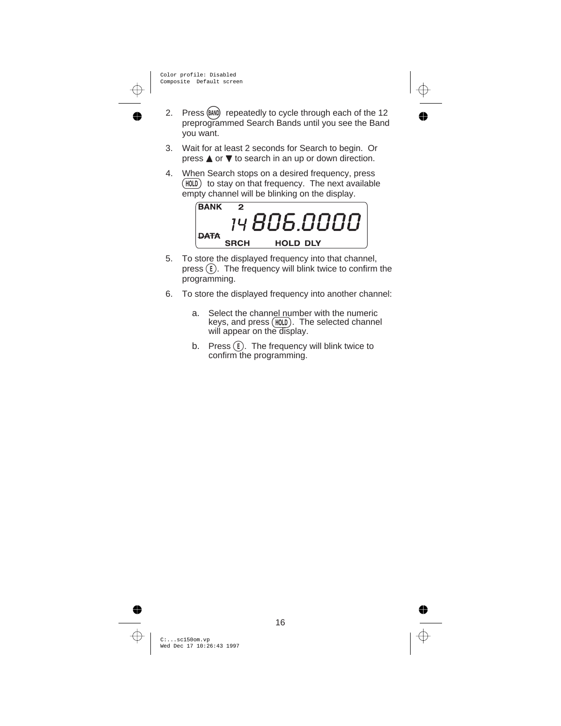- 2. Press (BAND) repeatedly to cycle through each of the 12 preprogrammed Search Bands until you see the Band you want.
- 3. Wait for at least 2 seconds for Search to begin. Or press  $\triangle$  or  $\nabla$  to search in an up or down direction.
- 4. When Search stops on a desired frequency, press  $(HOLD)$  to stay on that frequency. The next available empty channel will be blinking on the display.



- 5. To store the displayed frequency into that channel, press  $\left( \widehat{\mathbf{E}} \right)$ . The frequency will blink twice to confirm the programming.
- 6. To store the displayed frequency into another channel:
	- a. Select the channel number with the numeric keys, and press  $(HOLD)$ . The selected channel will appear on the display.
	- b. Press  $(E)$ . The frequency will blink twice to confirm the programming.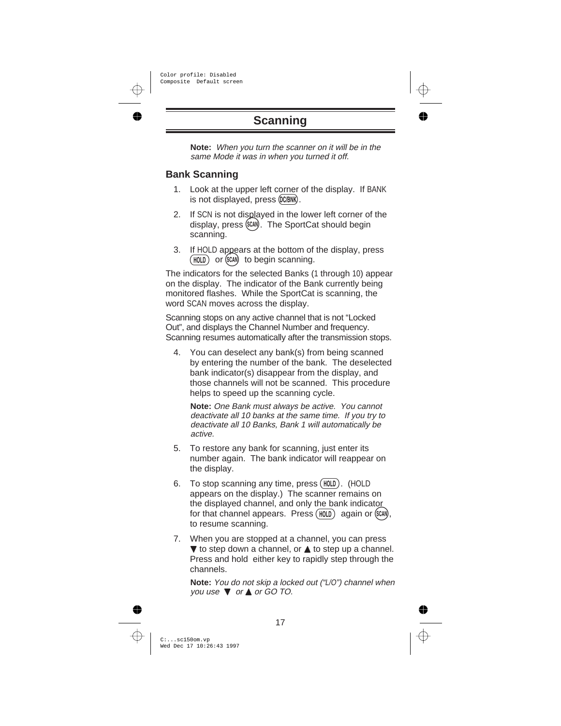# **Scanning**

**Note:** When you turn the scanner on it will be in the same Mode it was in when you turned it off.

#### **Bank Scanning**

- 1. Look at the upper left corner of the display. If BANK is not displayed, press (DC/BNK).
- 2. If SCN is not displayed in the lower left corner of the display, press (SCAI). The SportCat should begin scanning.
- 3. If HOLD appears at the bottom of the display, press (HOLD) or (SCAN) to begin scanning.

The indicators for the selected Banks (1 through 10) appear on the display. The indicator of the Bank currently being monitored flashes. While the SportCat is scanning, the word SCAN moves across the display.

Scanning stops on any active channel that is not "Locked Out", and displays the Channel Number and frequency. Scanning resumes automatically after the transmission stops.

4. You can deselect any bank(s) from being scanned by entering the number of the bank. The deselected bank indicator(s) disappear from the display, and those channels will not be scanned. This procedure helps to speed up the scanning cycle.

**Note:** One Bank must always be active. You cannot deactivate all 10 banks at the same time. If you try to deactivate all 10 Banks, Bank 1 will automatically be active.

- 5. To restore any bank for scanning, just enter its number again. The bank indicator will reappear on the display.
- 6. To stop scanning any time, press  $(HOLD)$ . (HOLD appears on the display.) The scanner remains on the displayed channel, and only the bank indicator<br>for that channel appears. Press  $(HOLD)$  again or  $(CAM)$ , to resume scanning.
- 7. When you are stopped at a channel, you can press  $\blacktriangledown$  to step down a channel, or  $\blacktriangle$  to step up a channel. Press and hold either key to rapidly step through the channels.

**Note:** You do not skip <sup>a</sup> locked out ("L/O") channel when you use  $\blacktriangledown$  or  $\blacktriangle$  or GO TO.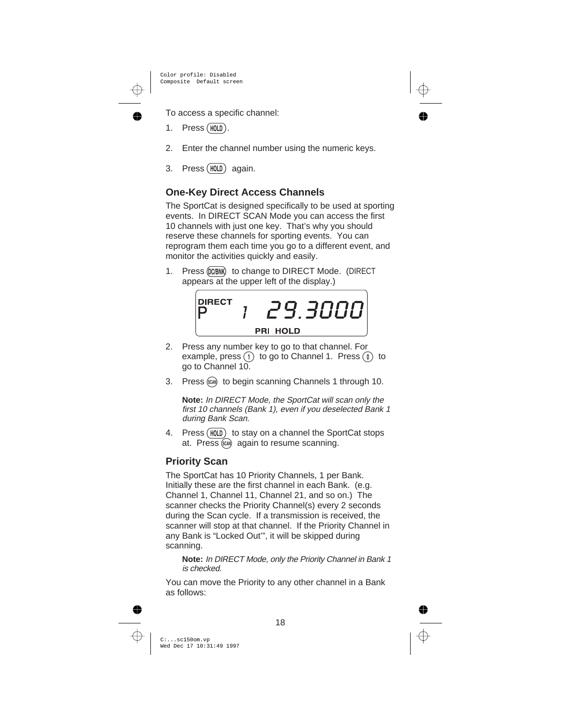To access a specific channel:

- $1.$  Press (HOLD).
- 2. Enter the channel number using the numeric keys.
- 3. Press (HOLD) again.

### **One-Key Direct Access Channels**

The SportCat is designed specifically to be used at sporting events. In DIRECT SCAN Mode you can access the first 10 channels with just one key. That's why you should reserve these channels for sporting events. You can reprogram them each time you go to a different event, and monitor the activities quickly and easily.

1. Press (DC/BNK) to change to DIRECT Mode. (DIRECT appears at the upper left of the display.)

$$
\begin{bmatrix}\n\text{DIRECT} & 7 & \angle 9.3000 \\
\text{PRI HOLD}\n\end{bmatrix}
$$

- 2. Press any number key to go to that channel. For example, press  $(1)$  to go to Channel 1. Press  $(0)$  to go to Channel 10.
- 3. Press (SGM) to begin scanning Channels 1 through 10.

**Note:** In DIRECT Mode, the SportCat will scan only the first 10 channels (Bank 1), even if you deselected Bank 1 during Bank Scan.

4. Press (HOLD) to stay on a channel the SportCat stops at. Press (scan) again to resume scanning.

### **Priority Scan**

The SportCat has 10 Priority Channels, 1 per Bank. Initially these are the first channel in each Bank. (e.g. Channel 1, Channel 11, Channel 21, and so on.) The scanner checks the Priority Channel(s) every 2 seconds during the Scan cycle. If a transmission is received, the scanner will stop at that channel. If the Priority Channel in any Bank is "Locked Out'", it will be skipped during scanning.

**Note:** In DIRECT Mode, only the Priority Channel in Bank <sup>1</sup> is checked.

You can move the Priority to any other channel in a Bank as follows: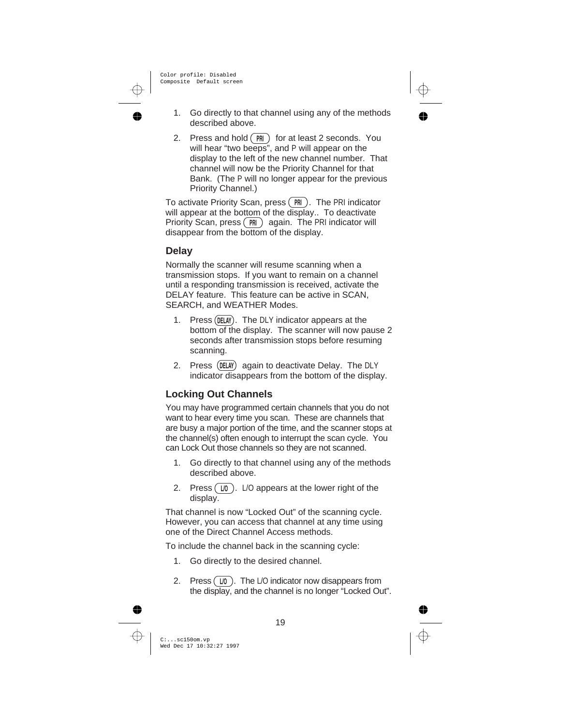- 1. Go directly to that channel using any of the methods described above.
- 2. Press and hold  $(\overline{PR})$  for at least 2 seconds. You will hear "two beeps", and P will appear on the display to the left of the new channel number. That channel will now be the Priority Channel for that Bank. (The P will no longer appear for the previous Priority Channel.)

To activate Priority Scan, press  $(PR)$ . The PRI indicator will appear at the bottom of the display.. To deactivate Priority Scan, press  $\binom{PR}{PR}$  again. The PRI indicator will disappear from the bottom of the display.

#### **Delay**

Normally the scanner will resume scanning when a transmission stops. If you want to remain on a channel until a responding transmission is received, activate the DELAY feature. This feature can be active in SCAN, SEARCH, and WEATHER Modes.

- 1. Press (DELAY). The DLY indicator appears at the bottom of the display. The scanner will now pause 2 seconds after transmission stops before resuming scanning.
- 2. Press (DELAY) again to deactivate Delay. The DLY indicator disappears from the bottom of the display.

#### **Locking Out Channels**

You may have programmed certain channels that you do not want to hear every time you scan. These are channels that are busy a major portion of the time, and the scanner stops at the channel(s) often enough to interrupt the scan cycle. You can Lock Out those channels so they are not scanned.

- 1. Go directly to that channel using any of the methods described above.
- 2. Press  $(U_0)$ . L/O appears at the lower right of the display.

That channel is now "Locked Out" of the scanning cycle. However, you can access that channel at any time using one of the Direct Channel Access methods.

To include the channel back in the scanning cycle:

- 1. Go directly to the desired channel.
- 2. Press  $(U_0)$ . The L/O indicator now disappears from the display, and the channel is no longer "Locked Out".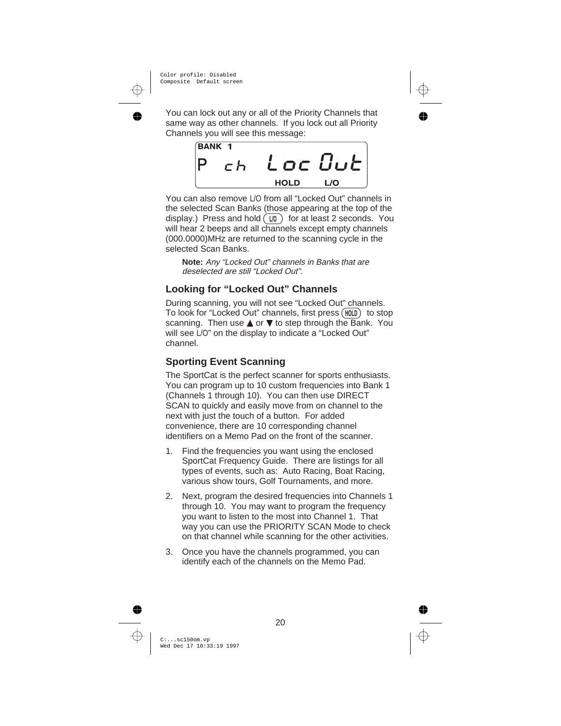You can lock out any or all of the Priority Channels that same way as other channels. If you lock out all Priority Channels you will see this message:



You can also remove L/O from all "Locked Out" channels in the selected Scan Banks (those appearing at the top of the display.) Press and hold  $\overline{U_0}$  for at least 2 seconds. You will hear 2 beeps and all channels except empty channels (000.0000)MHz are returned to the scanning cycle in the selected Scan Banks.

**Note:** Any "Locked Out" channels in Banks that are deselected are still "Locked Out".

### **Looking for "Locked Out" Channels**

During scanning, you will not see "Locked Out" channels. To look for "Locked Out" channels, first press (HOLD) to stop scanning. Then use  $\triangle$  or  $\nabla$  to step through the Bank. You will see L/O" on the display to indicate a "Locked Out" channel.

## **Sporting Event Scanning**

The SportCat is the perfect scanner for sports enthusiasts. You can program up to 10 custom frequencies into Bank 1 (Channels 1 through 10). You can then use DIRECT SCAN to quickly and easily move from on channel to the next with just the touch of a button. For added convenience, there are 10 corresponding channel identifiers on a Memo Pad on the front of the scanner.

- 1. Find the frequencies you want using the enclosed SportCat Frequency Guide. There are listings for all types of events, such as: Auto Racing, Boat Racing, various show tours, Golf Tournaments, and more.
- 2. Next, program the desired frequencies into Channels 1 through 10. You may want to program the frequency you want to listen to the most into Channel 1. That way you can use the PRIORITY SCAN Mode to check on that channel while scanning for the other activities.
- 3. Once you have the channels programmed, you can identify each of the channels on the Memo Pad.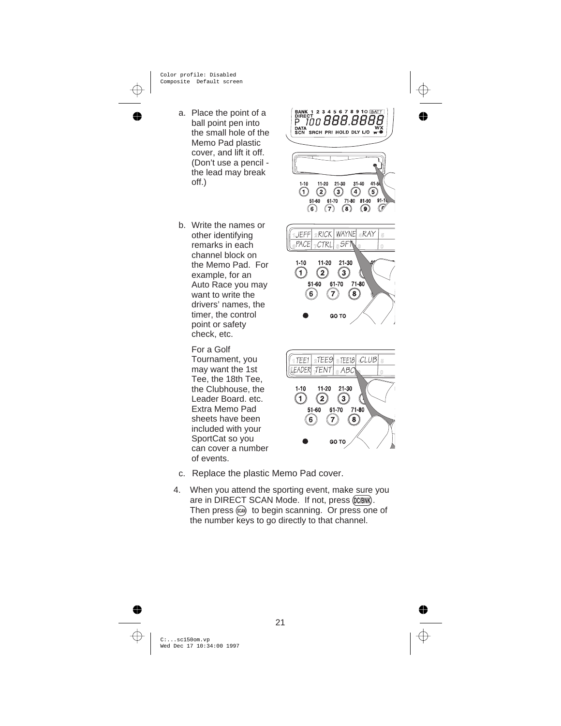- a. Place the point of a ball point pen into the small hole of the Memo Pad plastic cover, and lift it off. (Don't use a pencil the lead may break off.)
- b. Write the names or other identifying remarks in each channel block on the Memo Pad. For example, for an Auto Race you may want to write the drivers' names, the timer, the control point or safety check, etc.

For a Golf Tournament, you may want the 1st Tee, the 18th Tee, the Clubhouse, the Leader Board. etc. Extra Memo Pad sheets have been included with your SportCat so you can cover a number of events.

2 3 4 5 6 7 8 9 10 BAT DATA<br>SCN SRCH PRI HOLD DLY L/O T  $31 - 40$  $1 - 10$  $11 - 20$  $21 - 30$  $41 - 5$  $\binom{5}{}$  $\bigcap$  $\circ$  $(2)$  $(4)$ 51-60 61-70 71-80 81-90 (6)  $(7)$  $(8)$  $\left(9\right)$ 2RICK WAYNE & RAY 1JEFF  $\overline{6}$ PACE CTRL ® SF\  $\overline{a}$  $1 - 10$  $11-20$  $21 - 30$  $\sqrt{1}$  $\overline{2}$  $\overline{\mathbf{3}}$  $51-60$ 61-70  $71 - 80$ 6 7 (ี8 GO TO  $2TEE9$   $3TEE18$ 1 TEE1  $CLUB$ TENT FADFR  $ABC$  $1 - 10$  $11 - 20$  $21 - 30$ T  $\mathbf{2}$ (з 51-60 61-70 71-80

- c. Replace the plastic Memo Pad cover.
- 4. When you attend the sporting event, make sure you are in DIRECT SCAN Mode. If not, press (DCBNK). Then press  $(x_0)$  to begin scanning. Or press one of the number keys to go directly to that channel.

6

7

GO TO

(8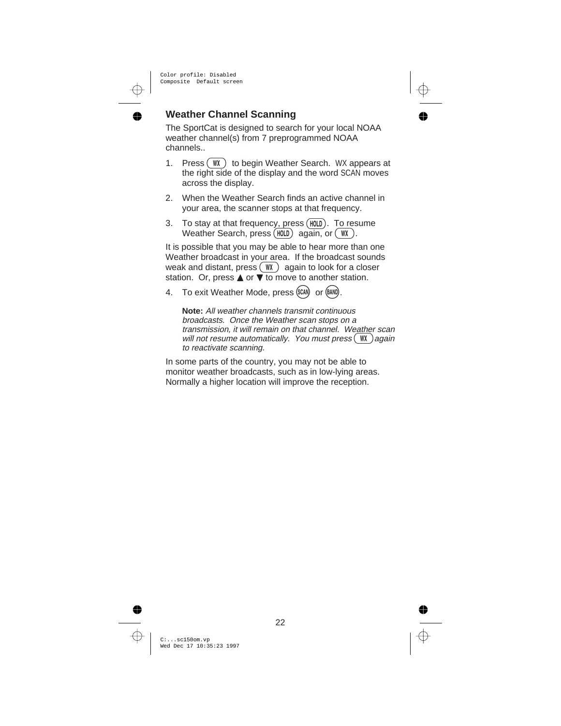#### **Weather Channel Scanning**

The SportCat is designed to search for your local NOAA weather channel(s) from 7 preprogrammed NOAA channels..

- 1. Press  $(W)$  to begin Weather Search. WX appears at the right side of the display and the word SCAN moves across the display.
- 2. When the Weather Search finds an active channel in your area, the scanner stops at that frequency.
- 3. To stay at that frequency, press  $(HOLD)$ . To resume Weather Search, press  $(HOLD)$  again, or  $(WX)$ .

It is possible that you may be able to hear more than one Weather broadcast in your area. If the broadcast sounds weak and distant, press  $(W \cap \mathcal{A})$  again to look for a closer station. Or, press  $\triangle$  or  $\blacktriangledown$  to move to another station.

4. To exit Weather Mode, press (SCAN) or (BAND).

**Note:** All weather channels transmit continuous broadcasts. Once the Weather scan stops on <sup>a</sup> transmission, it will remain on that channel. Weather scan will not resume automatically. You must press  $(W)$  again to reactivate scanning.

In some parts of the country, you may not be able to monitor weather broadcasts, such as in low-lying areas. Normally a higher location will improve the reception.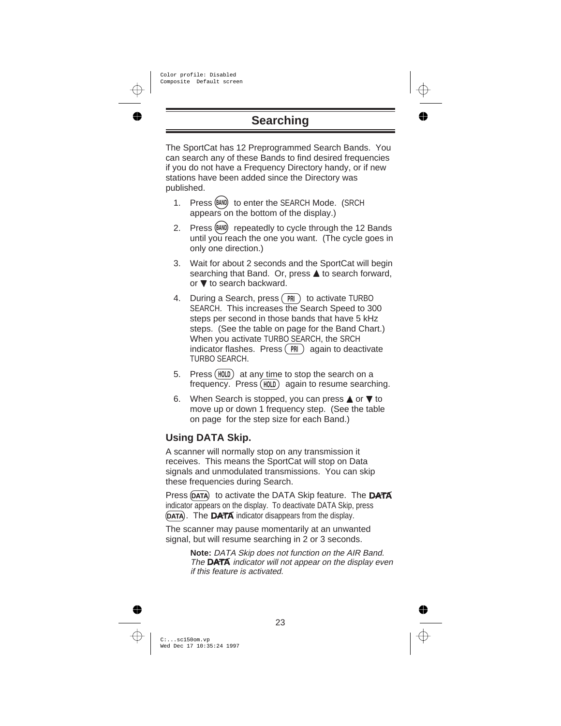# **Searching**

The SportCat has 12 Preprogrammed Search Bands. You can search any of these Bands to find desired frequencies if you do not have a Frequency Directory handy, or if new stations have been added since the Directory was published.

- 1. Press (BAND) to enter the SEARCH Mode. (SRCH appears on the bottom of the display.)
- 2. Press (BAND) repeatedly to cycle through the 12 Bands until you reach the one you want. (The cycle goes in only one direction.)
- 3. Wait for about 2 seconds and the SportCat will begin searching that Band. Or, press **A** to search forward, or  $\nabla$  to search backward.
- 4. During a Search, press (PRI) to activate TURBO SEARCH. This increases the Search Speed to 300 steps per second in those bands that have 5 kHz steps. (See the table on page for the Band Chart.) When you activate TURBO SEARCH, the SRCH indicator flashes. Press  $PR$  again to deactivate TURBO SEARCH.
- 5. Press  $(HOLD)$  at any time to stop the search on a  $f$ requency. Press  $(HOLD)$  again to resume searching.
- 6. When Search is stopped, you can press  $\triangle$  or  $\nabla$  to move up or down 1 frequency step. (See the table on page for the step size for each Band.)

### **Using DATA Skip.**

A scanner will normally stop on any transmission it receives. This means the SportCat will stop on Data signals and unmodulated transmissions. You can skip these frequencies during Search.

Press (DATA) to activate the DATA Skip feature. The DATA indicator appears on the display. To deactivate DATA Skip, press  $(DATA)$ . The **DATA** indicator disappears from the display.

The scanner may pause momentarily at an unwanted signal, but will resume searching in 2 or 3 seconds.

> **Note:** DATA Skip does not function on the AIR Band. The  $\overline{DATA}$  indicator will not appear on the display even if this feature is activated.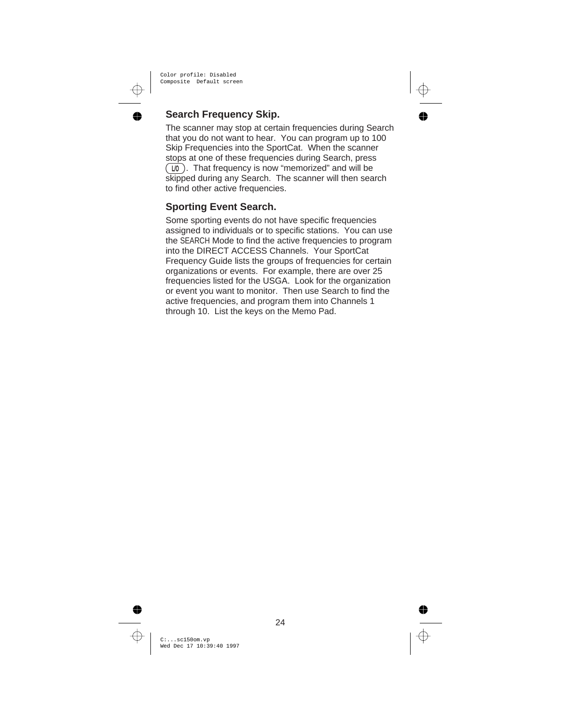### **Search Frequency Skip.**

The scanner may stop at certain frequencies during Search that you do not want to hear. You can program up to 100 Skip Frequencies into the SportCat. When the scanner stops at one of these frequencies during Search, press  $(\overline{10})$ . That frequency is now "memorized" and will be skipped during any Search. The scanner will then search to find other active frequencies.

#### **Sporting Event Search.**

Some sporting events do not have specific frequencies assigned to individuals or to specific stations. You can use the SEARCH Mode to find the active frequencies to program into the DIRECT ACCESS Channels. Your SportCat Frequency Guide lists the groups of frequencies for certain organizations or events. For example, there are over 25 frequencies listed for the USGA. Look for the organization or event you want to monitor. Then use Search to find the active frequencies, and program them into Channels 1 through 10. List the keys on the Memo Pad.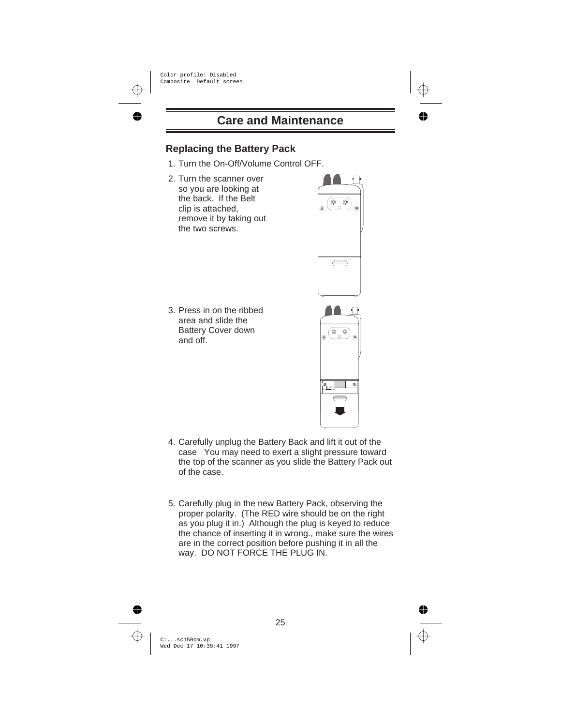## **Replacing the Battery Pack**

- 1. Turn the On-Off/Volume Control OFF.
- 2. Turn the scanner over so you are looking at the back. If the Belt clip is attached, remove it by taking out the two screws.



3. Press in on the ribbed area and slide the Battery Cover down and off.

- 4. Carefully unplug the Battery Back and lift it out of the case You may need to exert a slight pressure toward the top of the scanner as you slide the Battery Pack out of the case.
	- 5. Carefully plug in the new Battery Pack, observing the proper polarity. (The RED wire should be on the right as you plug it in.) Although the plug is keyed to reduce the chance of inserting it in wrong., make sure the wires are in the correct position before pushing it in all the way. DO NOT FORCE THE PLUG IN.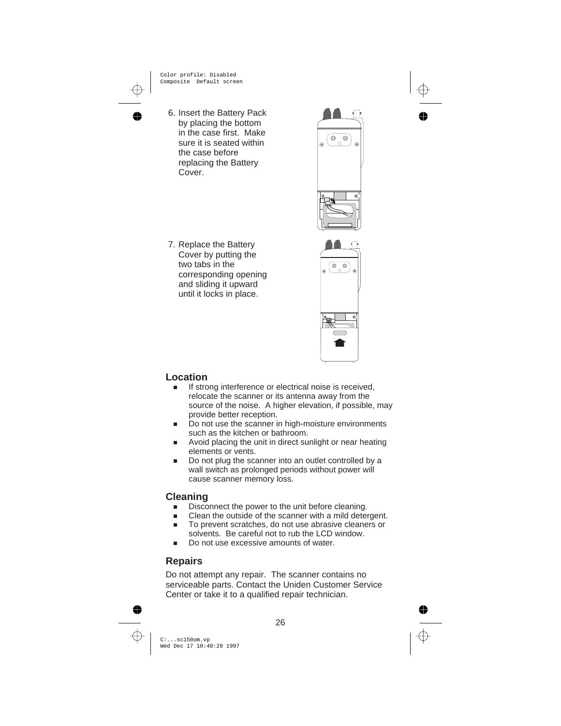6. Insert the Battery Pack by placing the bottom in the case first. Make sure it is seated within the case before replacing the Battery Cover.

7. Replace the Battery Cover by putting the two tabs in the corresponding opening and sliding it upward until it locks in place.



#### **Location**

- n If strong interference or electrical noise is received, relocate the scanner or its antenna away from the source of the noise. A higher elevation, if possible, may provide better reception.
- n Do not use the scanner in high-moisture environments such as the kitchen or bathroom.
- n Avoid placing the unit in direct sunlight or near heating elements or vents.
- n Do not plug the scanner into an outlet controlled by a wall switch as prolonged periods without power will cause scanner memory loss.

#### **Cleaning**

- nDisconnect the power to the unit before cleaning.
- nClean the outside of the scanner with a mild detergent.
- n To prevent scratches, do not use abrasive cleaners or solvents. Be careful not to rub the LCD window.
- nDo not use excessive amounts of water.

### **Repairs**

Do not attempt any repair. The scanner contains no serviceable parts. Contact the Uniden Customer Service Center or take it to a qualified repair technician.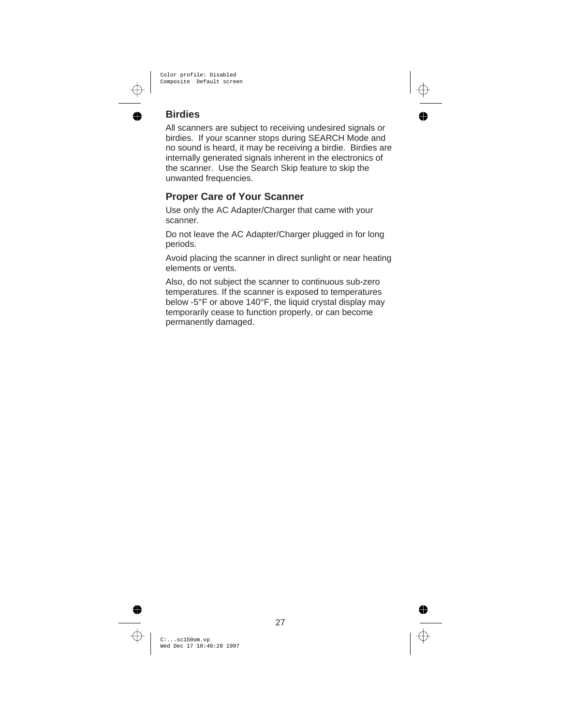## **Birdies**

All scanners are subject to receiving undesired signals or birdies. If your scanner stops during SEARCH Mode and no sound is heard, it may be receiving a birdie. Birdies are internally generated signals inherent in the electronics of the scanner. Use the Search Skip feature to skip the unwanted frequencies.

### **Proper Care of Your Scanner**

Use only the AC Adapter/Charger that came with your scanner.

Do not leave the AC Adapter/Charger plugged in for long periods.

Avoid placing the scanner in direct sunlight or near heating elements or vents.

Also, do not subject the scanner to continuous sub-zero temperatures. If the scanner is exposed to temperatures below -5°F or above 140°F, the liquid crystal display may temporarily cease to function properly, or can become permanently damaged.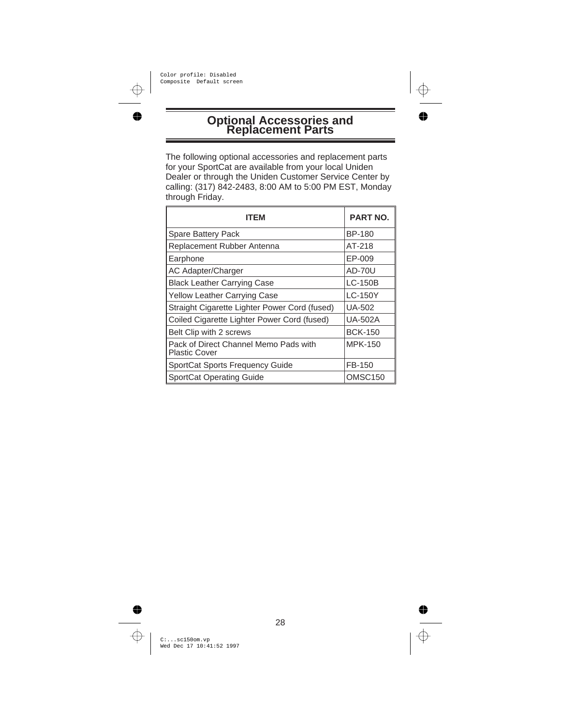# **Optional Accessories and Replacement Parts**

The following optional accessories and replacement parts for your SportCat are available from your local Uniden Dealer or through the Uniden Customer Service Center by calling: (317) 842-2483, 8:00 AM to 5:00 PM EST, Monday through Friday.

| ITEM                                                          | <b>PART NO.</b> |
|---------------------------------------------------------------|-----------------|
| <b>Spare Battery Pack</b>                                     | BP-180          |
| Replacement Rubber Antenna                                    | AT-218          |
| Earphone                                                      | EP-009          |
| AC Adapter/Charger                                            | AD-70U          |
| <b>Black Leather Carrying Case</b>                            | LC-150B         |
| Yellow Leather Carrying Case                                  | LC-150Y         |
| Straight Cigarette Lighter Power Cord (fused)                 | UA-502          |
| Coiled Cigarette Lighter Power Cord (fused)                   | UA-502A         |
| Belt Clip with 2 screws                                       | <b>BCK-150</b>  |
| Pack of Direct Channel Memo Pads with<br><b>Plastic Cover</b> | MPK-150         |
| <b>SportCat Sports Frequency Guide</b>                        | FB-150          |
| <b>SportCat Operating Guide</b>                               | OMSC150         |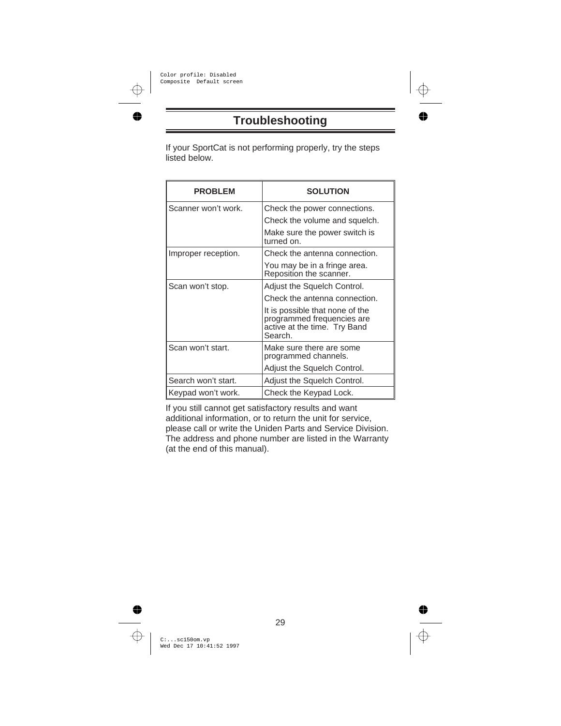# **Troubleshooting**

If your SportCat is not performing properly, try the steps listed below.

| <b>PROBLEM</b>      | <b>SOLUTION</b>                                                                                          |
|---------------------|----------------------------------------------------------------------------------------------------------|
| Scanner won't work. | Check the power connections.                                                                             |
|                     | Check the volume and squelch.                                                                            |
|                     | Make sure the power switch is<br>turned on.                                                              |
| Improper reception. | Check the antenna connection.                                                                            |
|                     | You may be in a fringe area.<br>Reposition the scanner.                                                  |
| Scan won't stop.    | Adjust the Squelch Control.                                                                              |
|                     | Check the antenna connection.                                                                            |
|                     | It is possible that none of the<br>programmed frequencies are<br>active at the time. Try Band<br>Search. |
| Scan won't start.   | Make sure there are some<br>programmed channels.                                                         |
|                     | Adjust the Squelch Control.                                                                              |
| Search won't start. | Adjust the Squelch Control.                                                                              |
| Keypad won't work.  | Check the Keypad Lock.                                                                                   |

If you still cannot get satisfactory results and want additional information, or to return the unit for service, please call or write the Uniden Parts and Service Division. The address and phone number are listed in the Warranty (at the end of this manual).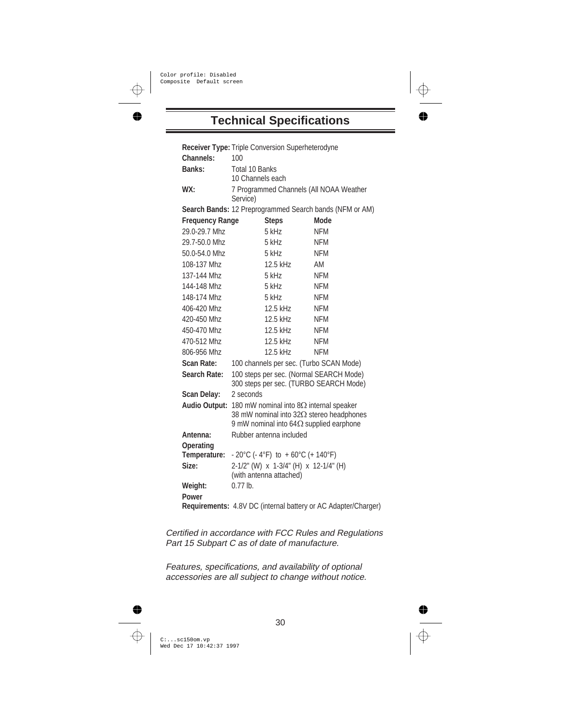## **Technical Specifications**

|                                                         | <b>Receiver Type: Triple Conversion Superheterodyne</b>                                                                                              |            |  |  |
|---------------------------------------------------------|------------------------------------------------------------------------------------------------------------------------------------------------------|------------|--|--|
| Channels:                                               | 100                                                                                                                                                  |            |  |  |
| Banks:                                                  | Total 10 Banks                                                                                                                                       |            |  |  |
|                                                         | 10 Channels each                                                                                                                                     |            |  |  |
| WX:                                                     | 7 Programmed Channels (All NOAA Weather<br>Service)                                                                                                  |            |  |  |
| Search Bands: 12 Preprogrammed Search bands (NFM or AM) |                                                                                                                                                      |            |  |  |
| <b>Frequency Range</b>                                  | <b>Steps</b>                                                                                                                                         | Mode       |  |  |
| 29.0-29.7 Mhz                                           | $5$ kHz                                                                                                                                              | <b>NFM</b> |  |  |
| 29.7-50.0 Mhz                                           | 5 kHz                                                                                                                                                | NFM        |  |  |
| 50.0-54.0 Mhz                                           | $5$ kHz                                                                                                                                              | NFM        |  |  |
| 108-137 Mhz                                             | $12.5$ kHz                                                                                                                                           | AM         |  |  |
| 137-144 Mhz                                             | 5 kHz                                                                                                                                                | <b>NFM</b> |  |  |
| 144-148 Mhz                                             | $5$ kHz                                                                                                                                              | <b>NFM</b> |  |  |
| 148-174 Mhz                                             | 5 kHz                                                                                                                                                | <b>NFM</b> |  |  |
| 406-420 Mhz                                             | 12.5 kHz                                                                                                                                             | <b>NFM</b> |  |  |
| 420-450 Mhz                                             | 12.5 kHz                                                                                                                                             | <b>NFM</b> |  |  |
| 450-470 Mhz                                             | 12.5 kHz                                                                                                                                             | <b>NFM</b> |  |  |
| 470-512 Mhz                                             | 12.5 kHz                                                                                                                                             | <b>NFM</b> |  |  |
| 806-956 Mhz                                             | $12.5$ kHz                                                                                                                                           | NFM        |  |  |
| <b>Scan Rate:</b>                                       | 100 channels per sec. (Turbo SCAN Mode)                                                                                                              |            |  |  |
| Search Rate:                                            | 100 steps per sec. (Normal SEARCH Mode)<br>300 steps per sec. (TURBO SEARCH Mode)                                                                    |            |  |  |
| <b>Scan Delay:</b>                                      | 2 seconds                                                                                                                                            |            |  |  |
| <b>Audio Output:</b>                                    | 180 mW nominal into $8\Omega$ internal speaker<br>38 mW nominal into $32\Omega$ stereo headphones<br>9 mW nominal into 64 $\Omega$ supplied earphone |            |  |  |
| Antenna:                                                | Rubber antenna included                                                                                                                              |            |  |  |
| <b>Operating</b>                                        |                                                                                                                                                      |            |  |  |
| Temperature:                                            | - 20°C (- 4°F) to +60°C (+140°F)                                                                                                                     |            |  |  |
| Size:                                                   | 2-1/2" (W) x 1-3/4" (H) x 12-1/4" (H)                                                                                                                |            |  |  |
|                                                         | (with antenna attached)                                                                                                                              |            |  |  |
| Weight:                                                 | $0.77$ lb.                                                                                                                                           |            |  |  |
| Power                                                   |                                                                                                                                                      |            |  |  |
|                                                         | Requirements: 4.8V DC (internal battery or AC Adapter/Charger)                                                                                       |            |  |  |

Certified in accordance with FCC Rules and Regulations Part 15 Subpart C as of date of manufacture.

Features, specifications, and availability of optional accessories are all subject to change without notice.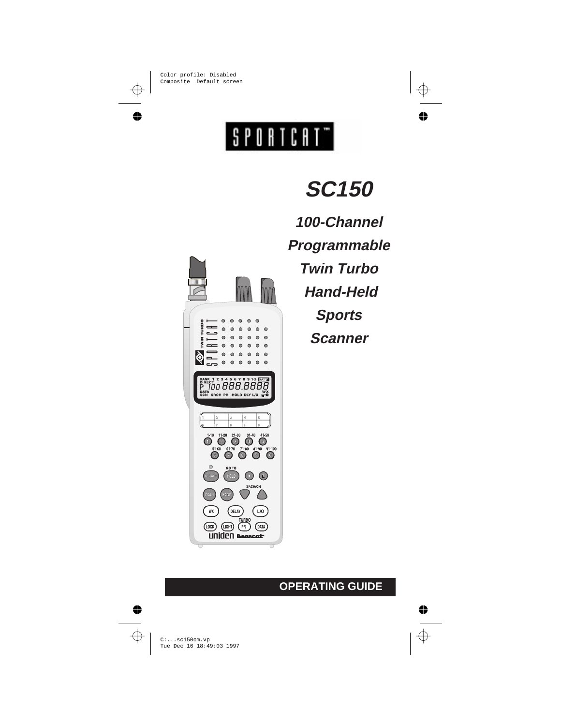# SPORTCAT<sup>-</sup>



**SC150**

**100-Channel Programmable Twin Turbo Hand-Held Sports Scanner**

## **OPERATING GUIDE**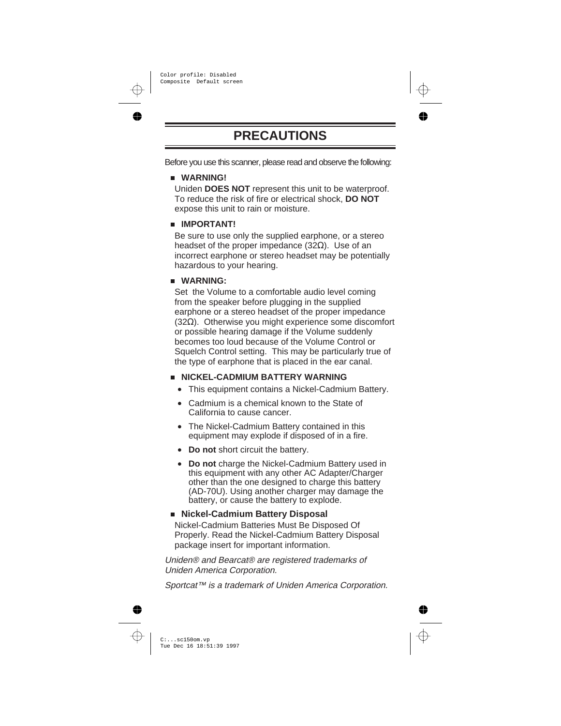# **PRECAUTIONS**

Before you use this scanner, please read and observe the following:

#### n **WARNING!**

Uniden **DOES NOT** represent this unit to be waterproof. To reduce the risk of fire or electrical shock, **DO NOT** expose this unit to rain or moisture.

#### **n IMPORTANT!**

Be sure to use only the supplied earphone, or a stereo headset of the proper impedance (32 $\Omega$ ). Use of an incorrect earphone or stereo headset may be potentially hazardous to your hearing.

#### n **WARNING:**

Set the Volume to a comfortable audio level coming from the speaker before plugging in the supplied earphone or a stereo headset of the proper impedance (32Ω). Otherwise you might experience some discomfort or possible hearing damage if the Volume suddenly becomes too loud because of the Volume Control or Squelch Control setting. This may be particularly true of the type of earphone that is placed in the ear canal.

#### **NICKEL-CADMIUM BATTERY WARNING**

- **·** This equipment contains a Nickel-Cadmium Battery.
- **·** Cadmium is a chemical known to the State of California to cause cancer.
- **·** The Nickel-Cadmium Battery contained in this equipment may explode if disposed of in a fire.
- **· Do not** short circuit the battery.
- **· Do not** charge the Nickel-Cadmium Battery used in this equipment with any other AC Adapter/Charger other than the one designed to charge this battery (AD-70U). Using another charger may damage the battery, or cause the battery to explode.

#### n **Nickel-Cadmium Battery Disposal**

Nickel-Cadmium Batteries Must Be Disposed Of Properly. Read the Nickel-Cadmium Battery Disposal package insert for important information.

Uniden® and Bearcat® are registered trademarks of Uniden America Corporation.

Sportcat™ is a trademark of Uniden America Corporation.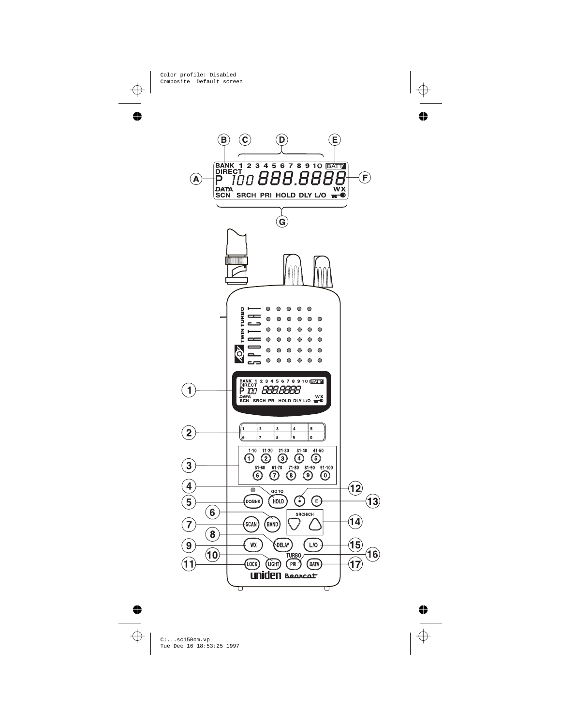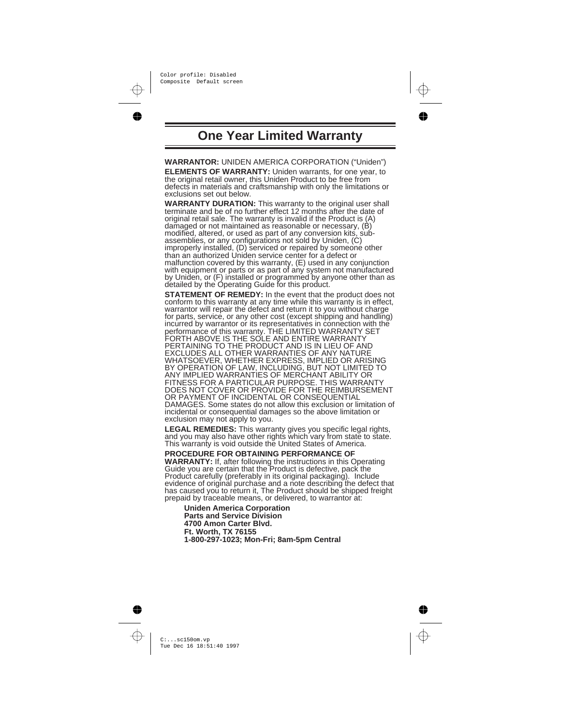## **One Year Limited Warranty**

**WARRANTOR:** UNIDEN AMERICA CORPORATION ("Uniden") **ELEMENTS OF WARRANTY:** Uniden warrants, for one year, to the original retail owner, this Uniden Product to be free from defects in materials and craftsmanship with only the limitations or exclusions set out below.

**WARRANTY DURATION:** This warranty to the original user shall terminate and be of no further effect 12 months after the date of original retail sale. The warranty is invalid if the Product is (A) damaged or not maintained as reasonable or necessary, (B) modified, altered, or used as part of any conversion kits, subassemblies, or any configurations not sold by Uniden, (C) improperly installed, (D) serviced or repaired by someone other than an authorized Uniden service center for a defect or malfunction covered by this warranty, (E) used in any conjunction<br>with equipment or parts or as part of any system not manufactured<br>by Uniden, or (F) installed or programmed by anyone other than as<br>detailed by the Operatin

**STATEMENT OF REMEDY:** In the event that the product does not conform to this warranty at any time while this warranty is in effect, warrantor will repair the defect and return it to you without charge for parts, service, or any other cost (except shipping and handling)<br>incurred by warrantor or its representatives in connection with the<br>performance of this warranty. THE LIMITED WARRANTY<br>FORTH ABOVE IS THE SOLE AND ENTIRE EXCLUDES ALL OTHER WARRANTIES OF ANY NATURE WHATSOEVER, WHETHER EXPRESS, IMPLIED OR ARISING BY OPERATION OF LAW, INCLUDING, BUT NOT LIMITED TO ANY IMPLIED WARRANTIES OF MERCHANT ABILITY OR FITNESS FOR A PARTICULAR PURPOSE. THIS WARRANTY DOES NOT COVER OR PROVIDE FOR THE REIMBURSEMENT OR PAYMENT OF INCIDENTAL OR CONSEQUENTIAL DAMAGES. Some states do not allow this exclusion or limitation of incidental or consequential damages so the above limitation or exclusion may not apply to you.

**LEGAL REMEDIES:** This warranty gives you specific legal rights, and you may also have other rights which vary from state to state. This warranty is void outside the United States of America.

**PROCEDURE FOR OBTAINING PERFORMANCE OF**

**WARRANTY:** If, after following the instructions in this Operating Guide you are certain that the Product is defective, pack the Product carefully (preferably in its original packaging). Include evidence of original purchase and a note describing the defect that has caused you to return it, The Product should be shipped freight prepaid by traceable means, or delivered, to warrantor at:

**Uniden America Corporation Parts and Service Division 4700 Amon Carter Blvd. Ft. Worth, TX 76155 1-800-297-1023; Mon-Fri; 8am-5pm Central**